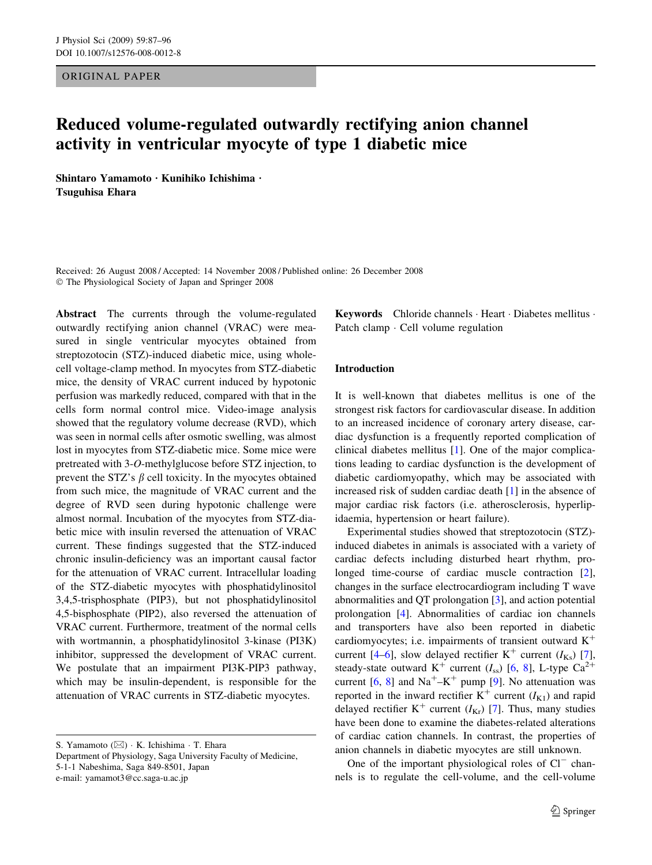ORIGINAL PAPER

# Reduced volume-regulated outwardly rectifying anion channel activity in ventricular myocyte of type 1 diabetic mice

Shintaro Yamamoto · Kunihiko Ichishima · Tsuguhisa Ehara

Received: 26 August 2008 / Accepted: 14 November 2008 / Published online: 26 December 2008 The Physiological Society of Japan and Springer 2008

Abstract The currents through the volume-regulated outwardly rectifying anion channel (VRAC) were measured in single ventricular myocytes obtained from streptozotocin (STZ)-induced diabetic mice, using wholecell voltage-clamp method. In myocytes from STZ-diabetic mice, the density of VRAC current induced by hypotonic perfusion was markedly reduced, compared with that in the cells form normal control mice. Video-image analysis showed that the regulatory volume decrease (RVD), which was seen in normal cells after osmotic swelling, was almost lost in myocytes from STZ-diabetic mice. Some mice were pretreated with 3-O-methylglucose before STZ injection, to prevent the STZ's  $\beta$  cell toxicity. In the myocytes obtained from such mice, the magnitude of VRAC current and the degree of RVD seen during hypotonic challenge were almost normal. Incubation of the myocytes from STZ-diabetic mice with insulin reversed the attenuation of VRAC current. These findings suggested that the STZ-induced chronic insulin-deficiency was an important causal factor for the attenuation of VRAC current. Intracellular loading of the STZ-diabetic myocytes with phosphatidylinositol 3,4,5-trisphosphate (PIP3), but not phosphatidylinositol 4,5-bisphosphate (PIP2), also reversed the attenuation of VRAC current. Furthermore, treatment of the normal cells with wortmannin, a phosphatidylinositol 3-kinase (PI3K) inhibitor, suppressed the development of VRAC current. We postulate that an impairment PI3K-PIP3 pathway, which may be insulin-dependent, is responsible for the attenuation of VRAC currents in STZ-diabetic myocytes.

S. Yamamoto ( $\boxtimes$ ) · K. Ichishima · T. Ehara

Department of Physiology, Saga University Faculty of Medicine, 5-1-1 Nabeshima, Saga 849-8501, Japan e-mail: yamamot3@cc.saga-u.ac.jp

**Keywords** Chloride channels  $\cdot$  Heart  $\cdot$  Diabetes mellitus  $\cdot$ Patch clamp  $\cdot$  Cell volume regulation

## Introduction

It is well-known that diabetes mellitus is one of the strongest risk factors for cardiovascular disease. In addition to an increased incidence of coronary artery disease, cardiac dysfunction is a frequently reported complication of clinical diabetes mellitus [[1\]](#page-8-0). One of the major complications leading to cardiac dysfunction is the development of diabetic cardiomyopathy, which may be associated with increased risk of sudden cardiac death [\[1](#page-8-0)] in the absence of major cardiac risk factors (i.e. atherosclerosis, hyperlipidaemia, hypertension or heart failure).

Experimental studies showed that streptozotocin (STZ) induced diabetes in animals is associated with a variety of cardiac defects including disturbed heart rhythm, prolonged time-course of cardiac muscle contraction [\[2](#page-8-0)], changes in the surface electrocardiogram including T wave abnormalities and QT prolongation [\[3](#page-8-0)], and action potential prolongation [[4\]](#page-8-0). Abnormalities of cardiac ion channels and transporters have also been reported in diabetic cardiomyocytes; i.e. impairments of transient outward  $K^+$ current [[4–6\]](#page-8-0), slow delayed rectifier K<sup>+</sup> current  $(I_{Ks})$  [\[7](#page-8-0)], steady-state outward  $K^+$  current  $(I_{ss})$  [[6,](#page-8-0) [8](#page-8-0)], L-type Ca<sup>2+</sup> current  $[6, 8]$  $[6, 8]$  $[6, 8]$  $[6, 8]$  and  $\text{Na}^+ - \text{K}^+$  pump [[9\]](#page-8-0). No attenuation was reported in the inward rectifier  $K^+$  current  $(I_{K1})$  and rapid delayed rectifier  $K^+$  current  $(I_{Kr})$  [[7\]](#page-8-0). Thus, many studies have been done to examine the diabetes-related alterations of cardiac cation channels. In contrast, the properties of anion channels in diabetic myocytes are still unknown.

One of the important physiological roles of  $Cl^-$  channels is to regulate the cell-volume, and the cell-volume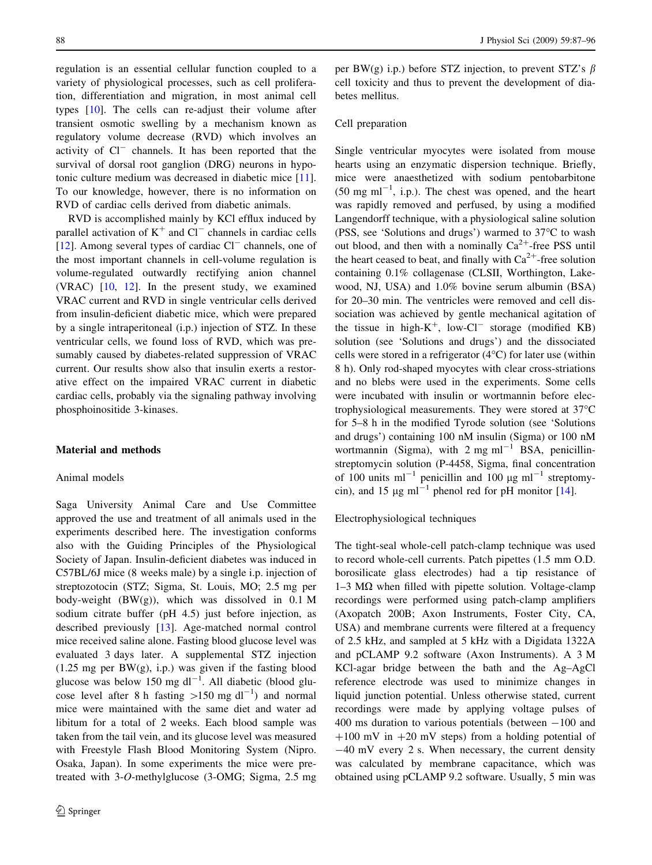regulation is an essential cellular function coupled to a variety of physiological processes, such as cell proliferation, differentiation and migration, in most animal cell types [\[10](#page-8-0)]. The cells can re-adjust their volume after transient osmotic swelling by a mechanism known as regulatory volume decrease (RVD) which involves an activity of  $Cl^-$  channels. It has been reported that the survival of dorsal root ganglion (DRG) neurons in hypotonic culture medium was decreased in diabetic mice [\[11](#page-8-0)]. To our knowledge, however, there is no information on RVD of cardiac cells derived from diabetic animals.

RVD is accomplished mainly by KCl efflux induced by parallel activation of  $K^+$  and  $Cl^-$  channels in cardiac cells [\[12](#page-8-0)]. Among several types of cardiac  $Cl^-$  channels, one of the most important channels in cell-volume regulation is volume-regulated outwardly rectifying anion channel (VRAC) [[10,](#page-8-0) [12](#page-8-0)]. In the present study, we examined VRAC current and RVD in single ventricular cells derived from insulin-deficient diabetic mice, which were prepared by a single intraperitoneal (i.p.) injection of STZ. In these ventricular cells, we found loss of RVD, which was presumably caused by diabetes-related suppression of VRAC current. Our results show also that insulin exerts a restorative effect on the impaired VRAC current in diabetic cardiac cells, probably via the signaling pathway involving phosphoinositide 3-kinases.

#### Material and methods

# Animal models

Saga University Animal Care and Use Committee approved the use and treatment of all animals used in the experiments described here. The investigation conforms also with the Guiding Principles of the Physiological Society of Japan. Insulin-deficient diabetes was induced in C57BL/6J mice (8 weeks male) by a single i.p. injection of streptozotocin (STZ; Sigma, St. Louis, MO; 2.5 mg per body-weight  $(BW(g))$ , which was dissolved in 0.1 M sodium citrate buffer (pH 4.5) just before injection, as described previously [\[13\]](#page-8-0). Age-matched normal control mice received saline alone. Fasting blood glucose level was evaluated 3 days later. A supplemental STZ injection  $(1.25 \text{ mg per BW(g)}, i.p.)$  was given if the fasting blood glucose was below 150 mg  $dl^{-1}$ . All diabetic (blood glucose level after 8 h fasting  $>150$  mg dl<sup>-1</sup>) and normal mice were maintained with the same diet and water ad libitum for a total of 2 weeks. Each blood sample was taken from the tail vein, and its glucose level was measured with Freestyle Flash Blood Monitoring System (Nipro. Osaka, Japan). In some experiments the mice were pretreated with 3-O-methylglucose (3-OMG; Sigma, 2.5 mg per BW(g) i.p.) before STZ injection, to prevent STZ's  $\beta$ cell toxicity and thus to prevent the development of diabetes mellitus.

# Cell preparation

Single ventricular myocytes were isolated from mouse hearts using an enzymatic dispersion technique. Briefly, mice were anaesthetized with sodium pentobarbitone  $(50 \text{ mg ml}^{-1}, \text{ i.p.}).$  The chest was opened, and the heart was rapidly removed and perfused, by using a modified Langendorff technique, with a physiological saline solution (PSS, see 'Solutions and drugs') warmed to  $37^{\circ}$ C to wash out blood, and then with a nominally  $Ca^{2+}$ -free PSS until the heart ceased to beat, and finally with  $Ca^{2+}$ -free solution containing 0.1% collagenase (CLSII, Worthington, Lakewood, NJ, USA) and 1.0% bovine serum albumin (BSA) for 20–30 min. The ventricles were removed and cell dissociation was achieved by gentle mechanical agitation of the tissue in high- $K^+$ , low-Cl<sup>-</sup> storage (modified KB) solution (see 'Solutions and drugs') and the dissociated cells were stored in a refrigerator  $(4^{\circ}C)$  for later use (within 8 h). Only rod-shaped myocytes with clear cross-striations and no blebs were used in the experiments. Some cells were incubated with insulin or wortmannin before electrophysiological measurements. They were stored at 37°C for 5–8 h in the modified Tyrode solution (see 'Solutions and drugs') containing 100 nM insulin (Sigma) or 100 nM wortmannin (Sigma), with  $2 \text{ mg ml}^{-1}$  BSA, penicillinstreptomycin solution (P-4458, Sigma, final concentration of 100 units  $ml^{-1}$  penicillin and 100  $\mu$ g ml<sup>-1</sup> streptomycin), and 15  $\mu$ g ml<sup>-1</sup> phenol red for pH monitor [\[14](#page-8-0)].

# Electrophysiological techniques

The tight-seal whole-cell patch-clamp technique was used to record whole-cell currents. Patch pipettes (1.5 mm O.D. borosilicate glass electrodes) had a tip resistance of  $1-3$  M $\Omega$  when filled with pipette solution. Voltage-clamp recordings were performed using patch-clamp amplifiers (Axopatch 200B; Axon Instruments, Foster City, CA, USA) and membrane currents were filtered at a frequency of 2.5 kHz, and sampled at 5 kHz with a Digidata 1322A and pCLAMP 9.2 software (Axon Instruments). A 3 M KCl-agar bridge between the bath and the Ag–AgCl reference electrode was used to minimize changes in liquid junction potential. Unless otherwise stated, current recordings were made by applying voltage pulses of  $400 \text{ ms}$  duration to various potentials (between  $-100 \text{ and}$ )  $+100$  mV in  $+20$  mV steps) from a holding potential of  $-40$  mV every 2 s. When necessary, the current density was calculated by membrane capacitance, which was obtained using pCLAMP 9.2 software. Usually, 5 min was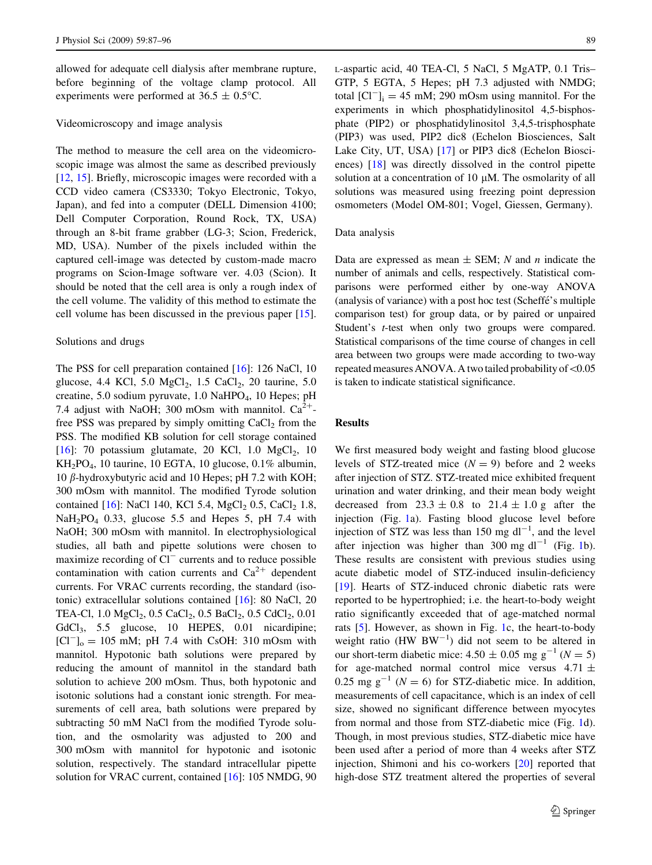allowed for adequate cell dialysis after membrane rupture, before beginning of the voltage clamp protocol. All experiments were performed at  $36.5 \pm 0.5$ °C.

# Videomicroscopy and image analysis

The method to measure the cell area on the videomicroscopic image was almost the same as described previously [\[12](#page-8-0), [15\]](#page-8-0). Briefly, microscopic images were recorded with a CCD video camera (CS3330; Tokyo Electronic, Tokyo, Japan), and fed into a computer (DELL Dimension 4100; Dell Computer Corporation, Round Rock, TX, USA) through an 8-bit frame grabber (LG-3; Scion, Frederick, MD, USA). Number of the pixels included within the captured cell-image was detected by custom-made macro programs on Scion-Image software ver. 4.03 (Scion). It should be noted that the cell area is only a rough index of the cell volume. The validity of this method to estimate the cell volume has been discussed in the previous paper [\[15](#page-8-0)].

## Solutions and drugs

The PSS for cell preparation contained [\[16](#page-8-0)]: 126 NaCl, 10 glucose, 4.4 KCl, 5.0  $MgCl<sub>2</sub>$ , 1.5 CaCl<sub>2</sub>, 20 taurine, 5.0 creatine, 5.0 sodium pyruvate, 1.0 NaHPO<sub>4</sub>, 10 Hepes; pH 7.4 adjust with NaOH; 300 mOsm with mannitol.  $Ca^{2+}$ free PSS was prepared by simply omitting  $CaCl<sub>2</sub>$  from the PSS. The modified KB solution for cell storage contained [\[16](#page-8-0)]: 70 potassium glutamate, 20 KCl, 1.0  $MgCl<sub>2</sub>$ , 10 KH2PO4, 10 taurine, 10 EGTA, 10 glucose, 0.1% albumin, 10  $\beta$ -hydroxybutyric acid and 10 Hepes; pH 7.2 with KOH; 300 mOsm with mannitol. The modified Tyrode solution contained [\[16](#page-8-0)]: NaCl 140, KCl 5.4, MgCl<sub>2</sub> 0.5, CaCl<sub>2</sub> 1.8,  $NaH<sub>2</sub>PO<sub>4</sub>$  0.33, glucose 5.5 and Hepes 5, pH 7.4 with NaOH; 300 mOsm with mannitol. In electrophysiological studies, all bath and pipette solutions were chosen to maximize recording of  $Cl^-$  currents and to reduce possible contamination with cation currents and  $Ca^{2+}$  dependent currents. For VRAC currents recording, the standard (isotonic) extracellular solutions contained [\[16](#page-8-0)]: 80 NaCl, 20 TEA-Cl, 1.0  $MgCl_2$ , 0.5 CaCl<sub>2</sub>, 0.5 BaCl<sub>2</sub>, 0.5 CdCl<sub>2</sub>, 0.01 GdCl<sub>3</sub>, 5.5 glucose, 10 HEPES, 0.01 nicardipine;  $\text{[Cl}^{-}\text{]}_{\text{o}} = 105 \text{ mM}$ ; pH 7.4 with CsOH: 310 mOsm with mannitol. Hypotonic bath solutions were prepared by reducing the amount of mannitol in the standard bath solution to achieve 200 mOsm. Thus, both hypotonic and isotonic solutions had a constant ionic strength. For measurements of cell area, bath solutions were prepared by subtracting 50 mM NaCl from the modified Tyrode solution, and the osmolarity was adjusted to 200 and 300 mOsm with mannitol for hypotonic and isotonic solution, respectively. The standard intracellular pipette solution for VRAC current, contained [[16\]](#page-8-0): 105 NMDG, 90 L-aspartic acid, 40 TEA-Cl, 5 NaCl, 5 MgATP, 0.1 Tris– GTP, 5 EGTA, 5 Hepes; pH 7.3 adjusted with NMDG; total  $\left[Cl^{-}\right]_i = 45$  mM; 290 mOsm using mannitol. For the experiments in which phosphatidylinositol 4,5-bisphosphate (PIP2) or phosphatidylinositol 3,4,5-trisphosphate (PIP3) was used, PIP2 dic8 (Echelon Biosciences, Salt Lake City, UT, USA) [[17\]](#page-8-0) or PIP3 dic8 (Echelon Biosciences) [[18\]](#page-8-0) was directly dissolved in the control pipette solution at a concentration of  $10 \mu M$ . The osmolarity of all solutions was measured using freezing point depression osmometers (Model OM-801; Vogel, Giessen, Germany).

## Data analysis

Data are expressed as mean  $\pm$  SEM; N and n indicate the number of animals and cells, respectively. Statistical comparisons were performed either by one-way ANOVA (analysis of variance) with a post hoc test (Scheffe´'s multiple comparison test) for group data, or by paired or unpaired Student's *t*-test when only two groups were compared. Statistical comparisons of the time course of changes in cell area between two groups were made according to two-way repeated measures ANOVA. A two tailed probability of\0.05 is taken to indicate statistical significance.

## Results

We first measured body weight and fasting blood glucose levels of STZ-treated mice  $(N = 9)$  before and 2 weeks after injection of STZ. STZ-treated mice exhibited frequent urination and water drinking, and their mean body weight decreased from  $23.3 \pm 0.8$  to  $21.4 \pm 1.0$  g after the injection (Fig. [1a](#page-3-0)). Fasting blood glucose level before injection of STZ was less than 150 mg  $dl^{-1}$ , and the level after injection was higher than 300 mg dl<sup>-[1](#page-3-0)</sup> (Fig. 1b). These results are consistent with previous studies using acute diabetic model of STZ-induced insulin-deficiency [\[19](#page-8-0)]. Hearts of STZ-induced chronic diabetic rats were reported to be hypertrophied; i.e. the heart-to-body weight ratio significantly exceeded that of age-matched normal rats [[5\]](#page-8-0). However, as shown in Fig. [1c](#page-3-0), the heart-to-body weight ratio (HW  $BW^{-1}$ ) did not seem to be altered in our short-term diabetic mice:  $4.50 \pm 0.05$  mg g<sup>-1</sup> (N = 5) for age-matched normal control mice versus  $4.71 \pm$ 0.25 mg  $g^{-1}$  (N = 6) for STZ-diabetic mice. In addition, measurements of cell capacitance, which is an index of cell size, showed no significant difference between myocytes from normal and those from STZ-diabetic mice (Fig. [1](#page-3-0)d). Though, in most previous studies, STZ-diabetic mice have been used after a period of more than 4 weeks after STZ injection, Shimoni and his co-workers [[20\]](#page-8-0) reported that high-dose STZ treatment altered the properties of several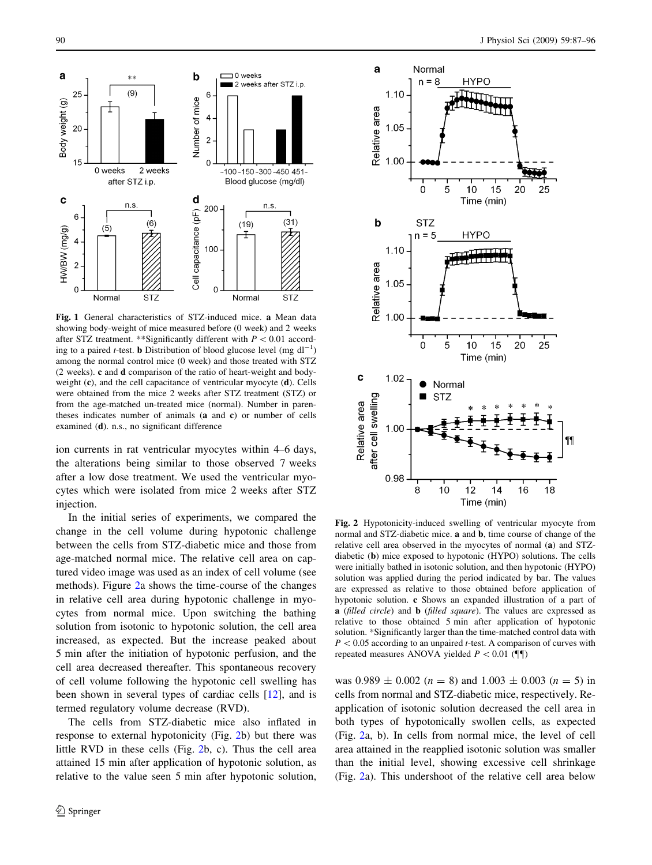<span id="page-3-0"></span>

Fig. 1 General characteristics of STZ-induced mice. a Mean data showing body-weight of mice measured before (0 week) and 2 weeks after STZ treatment. \*\*Significantly different with  $P < 0.01$  according to a paired *t*-test. **b** Distribution of blood glucose level (mg  $dl^{-1}$ ) among the normal control mice (0 week) and those treated with STZ (2 weeks). c and d comparison of the ratio of heart-weight and bodyweight (c), and the cell capacitance of ventricular myocyte (d). Cells were obtained from the mice 2 weeks after STZ treatment (STZ) or from the age-matched un-treated mice (normal). Number in parentheses indicates number of animals (a and c) or number of cells examined (d). n.s., no significant difference

ion currents in rat ventricular myocytes within 4–6 days, the alterations being similar to those observed 7 weeks after a low dose treatment. We used the ventricular myocytes which were isolated from mice 2 weeks after STZ injection.

In the initial series of experiments, we compared the change in the cell volume during hypotonic challenge between the cells from STZ-diabetic mice and those from age-matched normal mice. The relative cell area on captured video image was used as an index of cell volume (see methods). Figure 2a shows the time-course of the changes in relative cell area during hypotonic challenge in myocytes from normal mice. Upon switching the bathing solution from isotonic to hypotonic solution, the cell area increased, as expected. But the increase peaked about 5 min after the initiation of hypotonic perfusion, and the cell area decreased thereafter. This spontaneous recovery of cell volume following the hypotonic cell swelling has been shown in several types of cardiac cells [\[12](#page-8-0)], and is termed regulatory volume decrease (RVD).

The cells from STZ-diabetic mice also inflated in response to external hypotonicity (Fig. 2b) but there was little RVD in these cells (Fig. 2b, c). Thus the cell area attained 15 min after application of hypotonic solution, as relative to the value seen 5 min after hypotonic solution,



Fig. 2 Hypotonicity-induced swelling of ventricular myocyte from normal and STZ-diabetic mice. a and b, time course of change of the relative cell area observed in the myocytes of normal (a) and STZdiabetic (b) mice exposed to hypotonic (HYPO) solutions. The cells were initially bathed in isotonic solution, and then hypotonic (HYPO) solution was applied during the period indicated by bar. The values are expressed as relative to those obtained before application of hypotonic solution. c Shows an expanded illustration of a part of a (filled circle) and **b** (filled square). The values are expressed as relative to those obtained 5 min after application of hypotonic solution. \*Significantly larger than the time-matched control data with  $P < 0.05$  according to an unpaired t-test. A comparison of curves with repeated measures ANOVA yielded  $P < 0.01$  ( $\P$ )

was  $0.989 \pm 0.002$  ( $n = 8$ ) and  $1.003 \pm 0.003$  ( $n = 5$ ) in cells from normal and STZ-diabetic mice, respectively. Reapplication of isotonic solution decreased the cell area in both types of hypotonically swollen cells, as expected (Fig. 2a, b). In cells from normal mice, the level of cell area attained in the reapplied isotonic solution was smaller than the initial level, showing excessive cell shrinkage (Fig. 2a). This undershoot of the relative cell area below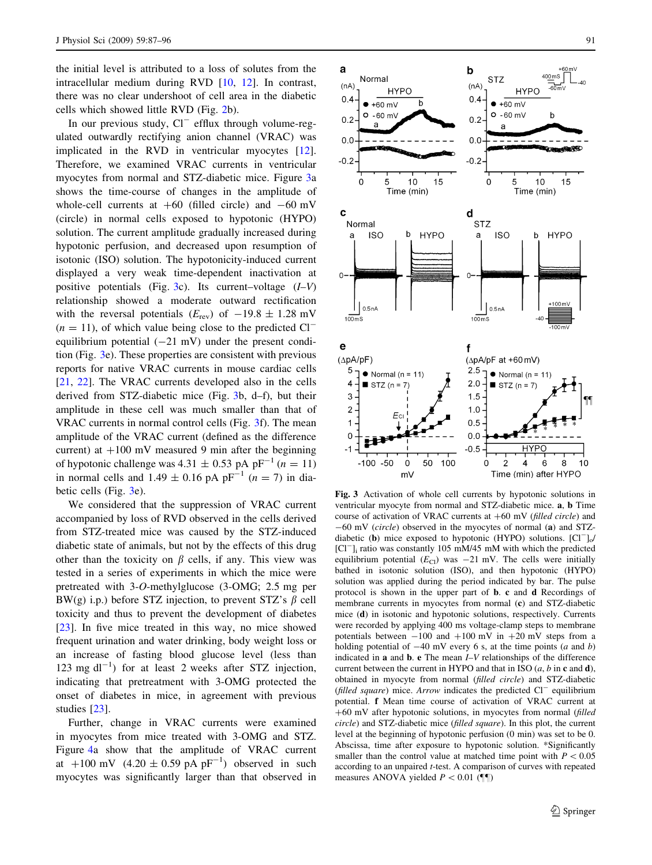<span id="page-4-0"></span>the initial level is attributed to a loss of solutes from the intracellular medium during RVD [\[10](#page-8-0), [12\]](#page-8-0). In contrast, there was no clear undershoot of cell area in the diabetic cells which showed little RVD (Fig. [2b](#page-3-0)).

In our previous study,  $Cl^-$  efflux through volume-regulated outwardly rectifying anion channel (VRAC) was implicated in the RVD in ventricular myocytes [\[12](#page-8-0)]. Therefore, we examined VRAC currents in ventricular myocytes from normal and STZ-diabetic mice. Figure 3a shows the time-course of changes in the amplitude of whole-cell currents at  $+60$  (filled circle) and  $-60$  mV (circle) in normal cells exposed to hypotonic (HYPO) solution. The current amplitude gradually increased during hypotonic perfusion, and decreased upon resumption of isotonic (ISO) solution. The hypotonicity-induced current displayed a very weak time-dependent inactivation at positive potentials (Fig. 3c). Its current–voltage  $(I-V)$ relationship showed a moderate outward rectification with the reversal potentials  $(E_{\text{rev}})$  of  $-19.8 \pm 1.28$  mV  $(n = 11)$ , of which value being close to the predicted Cl<sup>-</sup> equilibrium potential  $(-21 \text{ mV})$  under the present condition (Fig. 3e). These properties are consistent with previous reports for native VRAC currents in mouse cardiac cells [\[21](#page-8-0), [22\]](#page-8-0). The VRAC currents developed also in the cells derived from STZ-diabetic mice (Fig. 3b, d–f), but their amplitude in these cell was much smaller than that of VRAC currents in normal control cells (Fig. 3f). The mean amplitude of the VRAC current (defined as the difference current) at  $+100$  mV measured 9 min after the beginning of hypotonic challenge was 4.31  $\pm$  0.53 pA pF<sup>-1</sup> (n = 11) in normal cells and 1.49  $\pm$  0.16 pA pF<sup>-1</sup> (n = 7) in diabetic cells (Fig. 3e).

We considered that the suppression of VRAC current accompanied by loss of RVD observed in the cells derived from STZ-treated mice was caused by the STZ-induced diabetic state of animals, but not by the effects of this drug other than the toxicity on  $\beta$  cells, if any. This view was tested in a series of experiments in which the mice were pretreated with 3-O-methylglucose (3-OMG; 2.5 mg per  $BW(g)$  i.p.) before STZ injection, to prevent STZ's  $\beta$  cell toxicity and thus to prevent the development of diabetes [\[23](#page-8-0)]. In five mice treated in this way, no mice showed frequent urination and water drinking, body weight loss or an increase of fasting blood glucose level (less than 123 mg  $dl^{-1}$ ) for at least 2 weeks after STZ injection, indicating that pretreatment with 3-OMG protected the onset of diabetes in mice, in agreement with previous studies [\[23](#page-8-0)].

Further, change in VRAC currents were examined in myocytes from mice treated with 3-OMG and STZ. Figure [4](#page-5-0)a show that the amplitude of VRAC current at  $+100$  mV (4.20  $\pm$  0.59 pA pF<sup>-1</sup>) observed in such myocytes was significantly larger than that observed in



Fig. 3 Activation of whole cell currents by hypotonic solutions in ventricular myocyte from normal and STZ-diabetic mice. a, b Time course of activation of VRAC currents at  $+60$  mV (filled circle) and -60 mV (circle) observed in the myocytes of normal (a) and STZdiabetic (b) mice exposed to hypotonic (HYPO) solutions.  $[Cl^-]_0$ / [Cl-]i ratio was constantly 105 mM/45 mM with which the predicted equilibrium potential  $(E_{C1})$  was  $-21$  mV. The cells were initially bathed in isotonic solution (ISO), and then hypotonic (HYPO) solution was applied during the period indicated by bar. The pulse protocol is shown in the upper part of b. c and d Recordings of membrane currents in myocytes from normal (c) and STZ-diabetic mice (d) in isotonic and hypotonic solutions, respectively. Currents were recorded by applying 400 ms voltage-clamp steps to membrane potentials between  $-100$  and  $+100$  mV in  $+20$  mV steps from a holding potential of  $-40$  mV every 6 s, at the time points (*a* and *b*) indicated in a and b. e The mean I–V relationships of the difference current between the current in HYPO and that in ISO  $(a, b$  in c and  $d$ ), obtained in myocyte from normal (filled circle) and STZ-diabetic (filled square) mice. Arrow indicates the predicted  $Cl^-$  equilibrium potential. f Mean time course of activation of VRAC current at  $+60$  mV after hypotonic solutions, in myocytes from normal (filled circle) and STZ-diabetic mice (filled square). In this plot, the current level at the beginning of hypotonic perfusion (0 min) was set to be 0. Abscissa, time after exposure to hypotonic solution. \*Significantly smaller than the control value at matched time point with  $P < 0.05$ according to an unpaired t-test. A comparison of curves with repeated measures ANOVA yielded  $P < 0.01$  ( $\langle \langle \cdot \rangle$ )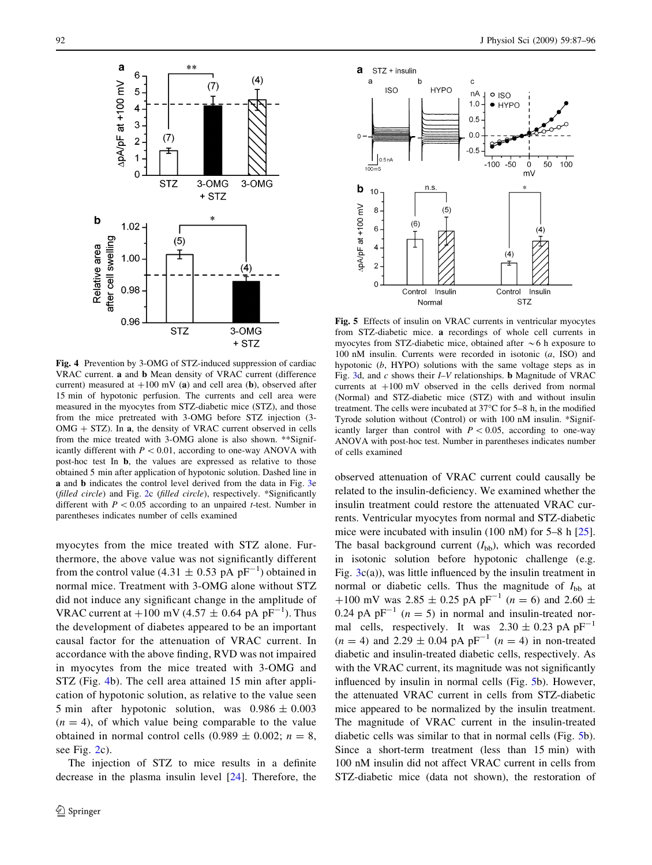<span id="page-5-0"></span>

Fig. 4 Prevention by 3-OMG of STZ-induced suppression of cardiac VRAC current. a and b Mean density of VRAC current (difference current) measured at  $+100$  mV (a) and cell area (b), observed after 15 min of hypotonic perfusion. The currents and cell area were measured in the myocytes from STZ-diabetic mice (STZ), and those from the mice pretreated with 3-OMG before STZ injection (3-  $OMG + STZ$ ). In a, the density of VRAC current observed in cells from the mice treated with 3-OMG alone is also shown. \*\*Significantly different with  $P \le 0.01$ , according to one-way ANOVA with post-hoc test In b, the values are expressed as relative to those obtained 5 min after application of hypotonic solution. Dashed line in a and b indicates the control level derived from the data in Fig. [3](#page-4-0)e (filled circle) and Fig. [2](#page-3-0)c (filled circle), respectively. \*Significantly different with  $P < 0.05$  according to an unpaired t-test. Number in parentheses indicates number of cells examined

myocytes from the mice treated with STZ alone. Furthermore, the above value was not significantly different from the control value (4.31  $\pm$  0.53 pA pF<sup>-1</sup>) obtained in normal mice. Treatment with 3-OMG alone without STZ did not induce any significant change in the amplitude of VRAC current at  $+100 \text{ mV} (4.57 \pm 0.64 \text{ pA pF}^{-1})$ . Thus the development of diabetes appeared to be an important causal factor for the attenuation of VRAC current. In accordance with the above finding, RVD was not impaired in myocytes from the mice treated with 3-OMG and STZ (Fig. 4b). The cell area attained 15 min after application of hypotonic solution, as relative to the value seen 5 min after hypotonic solution, was  $0.986 \pm 0.003$  $(n = 4)$ , of which value being comparable to the value obtained in normal control cells (0.989  $\pm$  0.002;  $n = 8$ , see Fig. [2c](#page-3-0)).

The injection of STZ to mice results in a definite decrease in the plasma insulin level [\[24](#page-8-0)]. Therefore, the



Fig. 5 Effects of insulin on VRAC currents in ventricular myocytes from STZ-diabetic mice. a recordings of whole cell currents in myocytes from STZ-diabetic mice, obtained after  $\sim$  6 h exposure to 100 nM insulin. Currents were recorded in isotonic (a, ISO) and hypotonic (b, HYPO) solutions with the same voltage steps as in Fig. [3d](#page-4-0), and  $c$  shows their  $I-V$  relationships. **b** Magnitude of VRAC currents at  $+100$  mV observed in the cells derived from normal (Normal) and STZ-diabetic mice (STZ) with and without insulin treatment. The cells were incubated at  $37^{\circ}$ C for 5–8 h, in the modified Tyrode solution without (Control) or with 100 nM insulin. \*Significantly larger than control with  $P < 0.05$ , according to one-way ANOVA with post-hoc test. Number in parentheses indicates number of cells examined

observed attenuation of VRAC current could causally be related to the insulin-deficiency. We examined whether the insulin treatment could restore the attenuated VRAC currents. Ventricular myocytes from normal and STZ-diabetic mice were incubated with insulin (100 nM) for 5–8 h [\[25](#page-8-0)]. The basal background current  $(I_{\text{bb}})$ , which was recorded in isotonic solution before hypotonic challenge (e.g. Fig.  $3c(a)$  $3c(a)$ , was little influenced by the insulin treatment in normal or diabetic cells. Thus the magnitude of  $I_{\text{bb}}$  at +100 mV was 2.85  $\pm$  0.25 pA pF<sup>-1</sup> (n = 6) and 2.60  $\pm$ 0.24 pA  $pF^{-1}$  ( $n = 5$ ) in normal and insulin-treated normal cells, respectively. It was  $2.30 \pm 0.23$  pA pF<sup>-1</sup>  $(n = 4)$  and 2.29  $\pm$  0.04 pA pF<sup>-1</sup>  $(n = 4)$  in non-treated diabetic and insulin-treated diabetic cells, respectively. As with the VRAC current, its magnitude was not significantly influenced by insulin in normal cells (Fig. 5b). However, the attenuated VRAC current in cells from STZ-diabetic mice appeared to be normalized by the insulin treatment. The magnitude of VRAC current in the insulin-treated diabetic cells was similar to that in normal cells (Fig. 5b). Since a short-term treatment (less than 15 min) with 100 nM insulin did not affect VRAC current in cells from STZ-diabetic mice (data not shown), the restoration of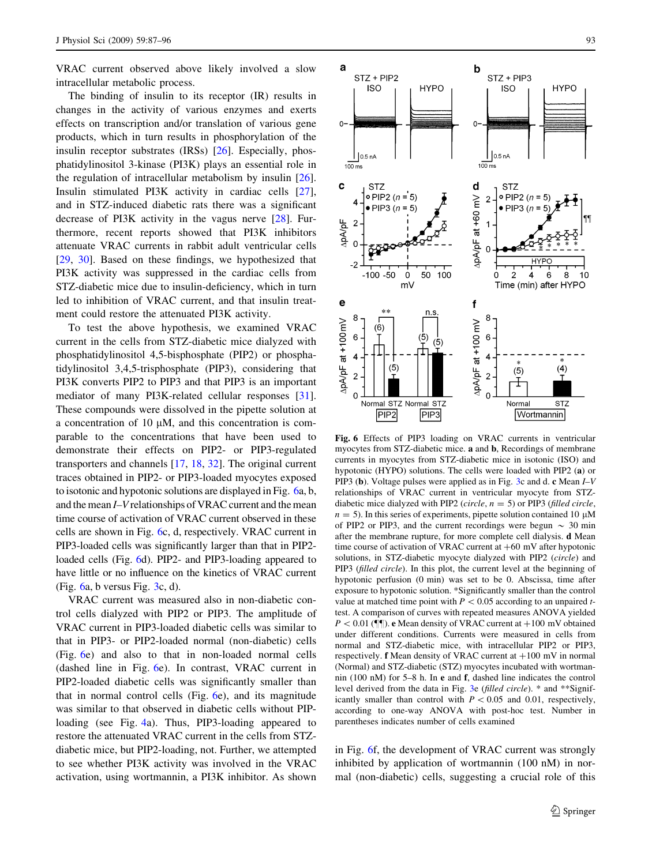<span id="page-6-0"></span>VRAC current observed above likely involved a slow intracellular metabolic process.

The binding of insulin to its receptor (IR) results in changes in the activity of various enzymes and exerts effects on transcription and/or translation of various gene products, which in turn results in phosphorylation of the insulin receptor substrates (IRSs) [[26\]](#page-8-0). Especially, phosphatidylinositol 3-kinase (PI3K) plays an essential role in the regulation of intracellular metabolism by insulin [\[26](#page-8-0)]. Insulin stimulated PI3K activity in cardiac cells [\[27](#page-8-0)], and in STZ-induced diabetic rats there was a significant decrease of PI3K activity in the vagus nerve [\[28](#page-9-0)]. Furthermore, recent reports showed that PI3K inhibitors attenuate VRAC currents in rabbit adult ventricular cells [\[29](#page-9-0), [30](#page-9-0)]. Based on these findings, we hypothesized that PI3K activity was suppressed in the cardiac cells from STZ-diabetic mice due to insulin-deficiency, which in turn led to inhibition of VRAC current, and that insulin treatment could restore the attenuated PI3K activity.

To test the above hypothesis, we examined VRAC current in the cells from STZ-diabetic mice dialyzed with phosphatidylinositol 4,5-bisphosphate (PIP2) or phosphatidylinositol 3,4,5-trisphosphate (PIP3), considering that PI3K converts PIP2 to PIP3 and that PIP3 is an important mediator of many PI3K-related cellular responses [\[31](#page-9-0)]. These compounds were dissolved in the pipette solution at a concentration of 10  $\mu$ M, and this concentration is comparable to the concentrations that have been used to demonstrate their effects on PIP2- or PIP3-regulated transporters and channels [\[17](#page-8-0), [18,](#page-8-0) [32\]](#page-9-0). The original current traces obtained in PIP2- or PIP3-loaded myocytes exposed to isotonic and hypotonic solutions are displayed in Fig. 6a, b, and the mean I–V relationships of VRAC current and the mean time course of activation of VRAC current observed in these cells are shown in Fig. 6c, d, respectively. VRAC current in PIP3-loaded cells was significantly larger than that in PIP2 loaded cells (Fig. 6d). PIP2- and PIP3-loading appeared to have little or no influence on the kinetics of VRAC current (Fig. 6a, b versus Fig. [3](#page-4-0)c, d).

VRAC current was measured also in non-diabetic control cells dialyzed with PIP2 or PIP3. The amplitude of VRAC current in PIP3-loaded diabetic cells was similar to that in PIP3- or PIP2-loaded normal (non-diabetic) cells (Fig. 6e) and also to that in non-loaded normal cells (dashed line in Fig. 6e). In contrast, VRAC current in PIP2-loaded diabetic cells was significantly smaller than that in normal control cells (Fig. 6e), and its magnitude was similar to that observed in diabetic cells without PIPloading (see Fig. [4](#page-5-0)a). Thus, PIP3-loading appeared to restore the attenuated VRAC current in the cells from STZdiabetic mice, but PIP2-loading, not. Further, we attempted to see whether PI3K activity was involved in the VRAC activation, using wortmannin, a PI3K inhibitor. As shown



Fig. 6 Effects of PIP3 loading on VRAC currents in ventricular myocytes from STZ-diabetic mice. a and b, Recordings of membrane currents in myocytes from STZ-diabetic mice in isotonic (ISO) and hypotonic (HYPO) solutions. The cells were loaded with PIP2 (a) or PIP3 (b). Voltage pulses were applied as in Fig. [3c](#page-4-0) and d. c Mean I–V relationships of VRAC current in ventricular myocyte from STZdiabetic mice dialyzed with PIP2 (circle,  $n = 5$ ) or PIP3 (filled circle,  $n = 5$ ). In this series of experiments, pipette solution contained 10  $\mu$ M of PIP2 or PIP3, and the current recordings were begun  $\sim$  30 min after the membrane rupture, for more complete cell dialysis. d Mean time course of activation of VRAC current at  $+60$  mV after hypotonic solutions, in STZ-diabetic myocyte dialyzed with PIP2 (circle) and PIP3 (filled circle). In this plot, the current level at the beginning of hypotonic perfusion (0 min) was set to be 0. Abscissa, time after exposure to hypotonic solution. \*Significantly smaller than the control value at matched time point with  $P < 0.05$  according to an unpaired ttest. A comparison of curves with repeated measures ANOVA yielded  $P < 0.01$  ( $\P$ ). e Mean density of VRAC current at  $+100$  mV obtained under different conditions. Currents were measured in cells from normal and STZ-diabetic mice, with intracellular PIP2 or PIP3, respectively.  $f$  Mean density of VRAC current at  $+100$  mV in normal (Normal) and STZ-diabetic (STZ) myocytes incubated with wortmannin (100 nM) for 5–8 h. In e and f, dashed line indicates the control level derived from the data in Fig. [3](#page-4-0)e (filled circle). \* and \*\*Significantly smaller than control with  $P < 0.05$  and 0.01, respectively, according to one-way ANOVA with post-hoc test. Number in parentheses indicates number of cells examined

in Fig. 6f, the development of VRAC current was strongly inhibited by application of wortmannin (100 nM) in normal (non-diabetic) cells, suggesting a crucial role of this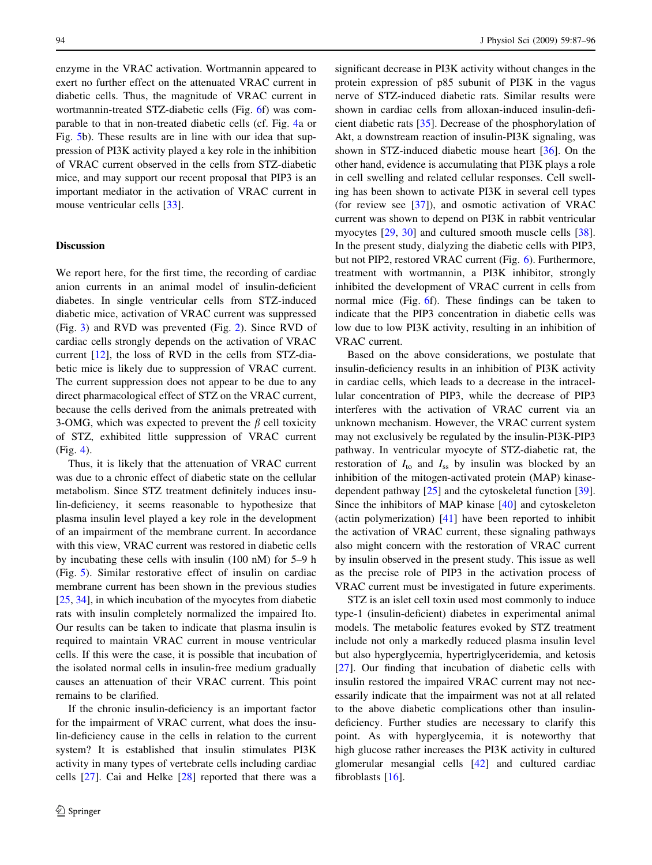enzyme in the VRAC activation. Wortmannin appeared to exert no further effect on the attenuated VRAC current in diabetic cells. Thus, the magnitude of VRAC current in wortmannin-treated STZ-diabetic cells (Fig. [6](#page-6-0)f) was comparable to that in non-treated diabetic cells (cf. Fig. [4a](#page-5-0) or Fig. [5](#page-5-0)b). These results are in line with our idea that suppression of PI3K activity played a key role in the inhibition of VRAC current observed in the cells from STZ-diabetic mice, and may support our recent proposal that PIP3 is an important mediator in the activation of VRAC current in mouse ventricular cells [\[33](#page-9-0)].

## Discussion

We report here, for the first time, the recording of cardiac anion currents in an animal model of insulin-deficient diabetes. In single ventricular cells from STZ-induced diabetic mice, activation of VRAC current was suppressed (Fig. [3](#page-4-0)) and RVD was prevented (Fig. [2\)](#page-3-0). Since RVD of cardiac cells strongly depends on the activation of VRAC current [[12\]](#page-8-0), the loss of RVD in the cells from STZ-diabetic mice is likely due to suppression of VRAC current. The current suppression does not appear to be due to any direct pharmacological effect of STZ on the VRAC current, because the cells derived from the animals pretreated with 3-OMG, which was expected to prevent the  $\beta$  cell toxicity of STZ, exhibited little suppression of VRAC current (Fig. [4](#page-5-0)).

Thus, it is likely that the attenuation of VRAC current was due to a chronic effect of diabetic state on the cellular metabolism. Since STZ treatment definitely induces insulin-deficiency, it seems reasonable to hypothesize that plasma insulin level played a key role in the development of an impairment of the membrane current. In accordance with this view, VRAC current was restored in diabetic cells by incubating these cells with insulin (100 nM) for 5–9 h (Fig. [5](#page-5-0)). Similar restorative effect of insulin on cardiac membrane current has been shown in the previous studies [\[25](#page-8-0), [34](#page-9-0)], in which incubation of the myocytes from diabetic rats with insulin completely normalized the impaired Ito. Our results can be taken to indicate that plasma insulin is required to maintain VRAC current in mouse ventricular cells. If this were the case, it is possible that incubation of the isolated normal cells in insulin-free medium gradually causes an attenuation of their VRAC current. This point remains to be clarified.

If the chronic insulin-deficiency is an important factor for the impairment of VRAC current, what does the insulin-deficiency cause in the cells in relation to the current system? It is established that insulin stimulates PI3K activity in many types of vertebrate cells including cardiac cells [\[27](#page-8-0)]. Cai and Helke [[28\]](#page-9-0) reported that there was a significant decrease in PI3K activity without changes in the protein expression of p85 subunit of PI3K in the vagus nerve of STZ-induced diabetic rats. Similar results were shown in cardiac cells from alloxan-induced insulin-deficient diabetic rats [[35\]](#page-9-0). Decrease of the phosphorylation of Akt, a downstream reaction of insulin-PI3K signaling, was shown in STZ-induced diabetic mouse heart [[36](#page-9-0)]. On the other hand, evidence is accumulating that PI3K plays a role in cell swelling and related cellular responses. Cell swelling has been shown to activate PI3K in several cell types (for review see [\[37](#page-9-0)]), and osmotic activation of VRAC current was shown to depend on PI3K in rabbit ventricular myocytes [\[29](#page-9-0), [30](#page-9-0)] and cultured smooth muscle cells [\[38](#page-9-0)]. In the present study, dialyzing the diabetic cells with PIP3, but not PIP2, restored VRAC current (Fig. [6\)](#page-6-0). Furthermore, treatment with wortmannin, a PI3K inhibitor, strongly inhibited the development of VRAC current in cells from normal mice (Fig. [6f](#page-6-0)). These findings can be taken to indicate that the PIP3 concentration in diabetic cells was low due to low PI3K activity, resulting in an inhibition of VRAC current.

Based on the above considerations, we postulate that insulin-deficiency results in an inhibition of PI3K activity in cardiac cells, which leads to a decrease in the intracellular concentration of PIP3, while the decrease of PIP3 interferes with the activation of VRAC current via an unknown mechanism. However, the VRAC current system may not exclusively be regulated by the insulin-PI3K-PIP3 pathway. In ventricular myocyte of STZ-diabetic rat, the restoration of  $I_{\text{to}}$  and  $I_{\text{ss}}$  by insulin was blocked by an inhibition of the mitogen-activated protein (MAP) kinasedependent pathway [\[25](#page-8-0)] and the cytoskeletal function [\[39](#page-9-0)]. Since the inhibitors of MAP kinase [[40\]](#page-9-0) and cytoskeleton (actin polymerization) [[41\]](#page-9-0) have been reported to inhibit the activation of VRAC current, these signaling pathways also might concern with the restoration of VRAC current by insulin observed in the present study. This issue as well as the precise role of PIP3 in the activation process of VRAC current must be investigated in future experiments.

STZ is an islet cell toxin used most commonly to induce type-1 (insulin-deficient) diabetes in experimental animal models. The metabolic features evoked by STZ treatment include not only a markedly reduced plasma insulin level but also hyperglycemia, hypertriglyceridemia, and ketosis [\[27](#page-8-0)]. Our finding that incubation of diabetic cells with insulin restored the impaired VRAC current may not necessarily indicate that the impairment was not at all related to the above diabetic complications other than insulindeficiency. Further studies are necessary to clarify this point. As with hyperglycemia, it is noteworthy that high glucose rather increases the PI3K activity in cultured glomerular mesangial cells [[42\]](#page-9-0) and cultured cardiac fibroblasts [\[16](#page-8-0)].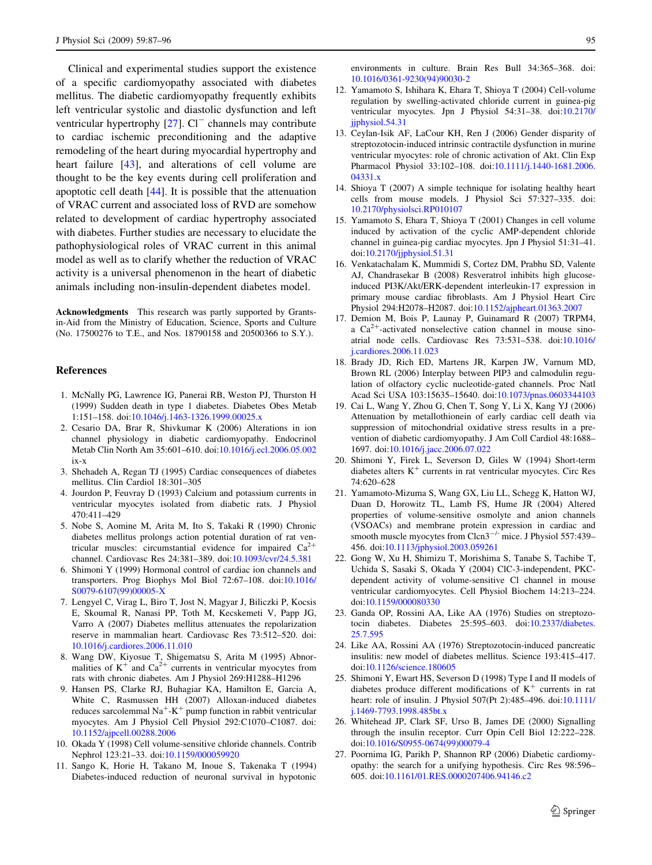<span id="page-8-0"></span>Clinical and experimental studies support the existence of a specific cardiomyopathy associated with diabetes mellitus. The diabetic cardiomyopathy frequently exhibits left ventricular systolic and diastolic dysfunction and left ventricular hypertrophy  $[27]$ . Cl<sup>-</sup> channels may contribute to cardiac ischemic preconditioning and the adaptive remodeling of the heart during myocardial hypertrophy and heart failure [\[43](#page-9-0)], and alterations of cell volume are thought to be the key events during cell proliferation and apoptotic cell death [\[44](#page-9-0)]. It is possible that the attenuation of VRAC current and associated loss of RVD are somehow related to development of cardiac hypertrophy associated with diabetes. Further studies are necessary to elucidate the pathophysiological roles of VRAC current in this animal model as well as to clarify whether the reduction of VRAC activity is a universal phenomenon in the heart of diabetic animals including non-insulin-dependent diabetes model.

Acknowledgments This research was partly supported by Grantsin-Aid from the Ministry of Education, Science, Sports and Culture (No. 17500276 to T.E., and Nos. 18790158 and 20500366 to S.Y.).

#### References

- 1. McNally PG, Lawrence IG, Panerai RB, Weston PJ, Thurston H (1999) Sudden death in type 1 diabetes. Diabetes Obes Metab 1:151–158. doi[:10.1046/j.1463-1326.1999.00025.x](http://dx.doi.org/10.1046/j.1463-1326.1999.00025.x)
- 2. Cesario DA, Brar R, Shivkumar K (2006) Alterations in ion channel physiology in diabetic cardiomyopathy. Endocrinol Metab Clin North Am 35:601–610. doi[:10.1016/j.ecl.2006.05.002](http://dx.doi.org/10.1016/j.ecl.2006.05.002) ix-x
- 3. Shehadeh A, Regan TJ (1995) Cardiac consequences of diabetes mellitus. Clin Cardiol 18:301–305
- 4. Jourdon P, Feuvray D (1993) Calcium and potassium currents in ventricular myocytes isolated from diabetic rats. J Physiol 470:411–429
- 5. Nobe S, Aomine M, Arita M, Ito S, Takaki R (1990) Chronic diabetes mellitus prolongs action potential duration of rat ventricular muscles: circumstantial evidence for impaired  $Ca^{2+}$ channel. Cardiovasc Res 24:381–389. doi[:10.1093/cvr/24.5.381](http://dx.doi.org/10.1093/cvr/24.5.381)
- 6. Shimoni Y (1999) Hormonal control of cardiac ion channels and transporters. Prog Biophys Mol Biol 72:67–108. doi[:10.1016/](http://dx.doi.org/10.1016/S0079-6107(99)00005-X) [S0079-6107\(99\)00005-X](http://dx.doi.org/10.1016/S0079-6107(99)00005-X)
- 7. Lengyel C, Virag L, Biro T, Jost N, Magyar J, Biliczki P, Kocsis E, Skoumal R, Nanasi PP, Toth M, Kecskemeti V, Papp JG, Varro A (2007) Diabetes mellitus attenuates the repolarization reserve in mammalian heart. Cardiovasc Res 73:512–520. doi: [10.1016/j.cardiores.2006.11.010](http://dx.doi.org/10.1016/j.cardiores.2006.11.010)
- 8. Wang DW, Kiyosue T, Shigematsu S, Arita M (1995) Abnormalities of  $K^+$  and  $Ca^{2+}$  currents in ventricular myocytes from rats with chronic diabetes. Am J Physiol 269:H1288–H1296
- 9. Hansen PS, Clarke RJ, Buhagiar KA, Hamilton E, Garcia A, White C, Rasmussen HH (2007) Alloxan-induced diabetes reduces sarcolemmal  $Na^+ - K^+$  pump function in rabbit ventricular myocytes. Am J Physiol Cell Physiol 292:C1070–C1087. doi: [10.1152/ajpcell.00288.2006](http://dx.doi.org/10.1152/ajpcell.00288.2006)
- 10. Okada Y (1998) Cell volume-sensitive chloride channels. Contrib Nephrol 123:21–33. doi:[10.1159/000059920](http://dx.doi.org/10.1159/000059920)
- 11. Sango K, Horie H, Takano M, Inoue S, Takenaka T (1994) Diabetes-induced reduction of neuronal survival in hypotonic

environments in culture. Brain Res Bull 34:365–368. doi: [10.1016/0361-9230\(94\)90030-2](http://dx.doi.org/10.1016/0361-9230(94)90030-2)

- 12. Yamamoto S, Ishihara K, Ehara T, Shioya T (2004) Cell-volume regulation by swelling-activated chloride current in guinea-pig ventricular myocytes. Jpn J Physiol 54:31–38. doi[:10.2170/](http://dx.doi.org/10.2170/jjphysiol.54.31) jiphysiol.54.31
- 13. Ceylan-Isik AF, LaCour KH, Ren J (2006) Gender disparity of streptozotocin-induced intrinsic contractile dysfunction in murine ventricular myocytes: role of chronic activation of Akt. Clin Exp Pharmacol Physiol 33:102–108. doi:[10.1111/j.1440-1681.2006.](http://dx.doi.org/10.1111/j.1440-1681.2006.04331.x) [04331.x](http://dx.doi.org/10.1111/j.1440-1681.2006.04331.x)
- 14. Shioya T (2007) A simple technique for isolating healthy heart cells from mouse models. J Physiol Sci 57:327–335. doi: [10.2170/physiolsci.RP010107](http://dx.doi.org/10.2170/physiolsci.RP010107)
- 15. Yamamoto S, Ehara T, Shioya T (2001) Changes in cell volume induced by activation of the cyclic AMP-dependent chloride channel in guinea-pig cardiac myocytes. Jpn J Physiol 51:31–41. doi:[10.2170/jjphysiol.51.31](http://dx.doi.org/10.2170/jjphysiol.51.31)
- 16. Venkatachalam K, Mummidi S, Cortez DM, Prabhu SD, Valente AJ, Chandrasekar B (2008) Resveratrol inhibits high glucoseinduced PI3K/Akt/ERK-dependent interleukin-17 expression in primary mouse cardiac fibroblasts. Am J Physiol Heart Circ Physiol 294:H2078–H2087. doi:[10.1152/ajpheart.01363.2007](http://dx.doi.org/10.1152/ajpheart.01363.2007)
- 17. Demion M, Bois P, Launay P, Guinamard R (2007) TRPM4, a  $Ca<sup>2+</sup>$ -activated nonselective cation channel in mouse sinoatrial node cells. Cardiovasc Res 73:531–538. doi[:10.1016/](http://dx.doi.org/10.1016/j.cardiores.2006.11.023) [j.cardiores.2006.11.023](http://dx.doi.org/10.1016/j.cardiores.2006.11.023)
- 18. Brady JD, Rich ED, Martens JR, Karpen JW, Varnum MD, Brown RL (2006) Interplay between PIP3 and calmodulin regulation of olfactory cyclic nucleotide-gated channels. Proc Natl Acad Sci USA 103:15635–15640. doi[:10.1073/pnas.0603344103](http://dx.doi.org/10.1073/pnas.0603344103)
- 19. Cai L, Wang Y, Zhou G, Chen T, Song Y, Li X, Kang YJ (2006) Attenuation by metallothionein of early cardiac cell death via suppression of mitochondrial oxidative stress results in a prevention of diabetic cardiomyopathy. J Am Coll Cardiol 48:1688– 1697. doi:[10.1016/j.jacc.2006.07.022](http://dx.doi.org/10.1016/j.jacc.2006.07.022)
- 20. Shimoni Y, Firek L, Severson D, Giles W (1994) Short-term diabetes alters  $K^+$  currents in rat ventricular myocytes. Circ Res 74:620–628
- 21. Yamamoto-Mizuma S, Wang GX, Liu LL, Schegg K, Hatton WJ, Duan D, Horowitz TL, Lamb FS, Hume JR (2004) Altered properties of volume-sensitive osmolyte and anion channels (VSOACs) and membrane protein expression in cardiac and smooth muscle myocytes from Clcn3<sup> $-/-$ </sup> mice. J Physiol 557:439– 456. doi:[10.1113/jphysiol.2003.059261](http://dx.doi.org/10.1113/jphysiol.2003.059261)
- 22. Gong W, Xu H, Shimizu T, Morishima S, Tanabe S, Tachibe T, Uchida S, Sasaki S, Okada Y (2004) ClC-3-independent, PKCdependent activity of volume-sensitive Cl channel in mouse ventricular cardiomyocytes. Cell Physiol Biochem 14:213–224. doi:[10.1159/000080330](http://dx.doi.org/10.1159/000080330)
- 23. Ganda OP, Rossini AA, Like AA (1976) Studies on streptozotocin diabetes. Diabetes 25:595–603. doi[:10.2337/diabetes.](http://dx.doi.org/10.2337/diabetes.25.7.595) [25.7.595](http://dx.doi.org/10.2337/diabetes.25.7.595)
- 24. Like AA, Rossini AA (1976) Streptozotocin-induced pancreatic insulitis: new model of diabetes mellitus. Science 193:415–417. doi:[10.1126/science.180605](http://dx.doi.org/10.1126/science.180605)
- 25. Shimoni Y, Ewart HS, Severson D (1998) Type I and II models of diabetes produce different modifications of  $K^+$  currents in rat heart: role of insulin. J Physiol 507(Pt 2):485–496. doi[:10.1111/](http://dx.doi.org/10.1111/j.1469-7793.1998.485bt.x) [j.1469-7793.1998.485bt.x](http://dx.doi.org/10.1111/j.1469-7793.1998.485bt.x)
- 26. Whitehead JP, Clark SF, Urso B, James DE (2000) Signalling through the insulin receptor. Curr Opin Cell Biol 12:222–228. doi:[10.1016/S0955-0674\(99\)00079-4](http://dx.doi.org/10.1016/S0955-0674(99)00079-4)
- 27. Poornima IG, Parikh P, Shannon RP (2006) Diabetic cardiomyopathy: the search for a unifying hypothesis. Circ Res 98:596– 605. doi:[10.1161/01.RES.0000207406.94146.c2](http://dx.doi.org/10.1161/01.RES.0000207406.94146.c2)